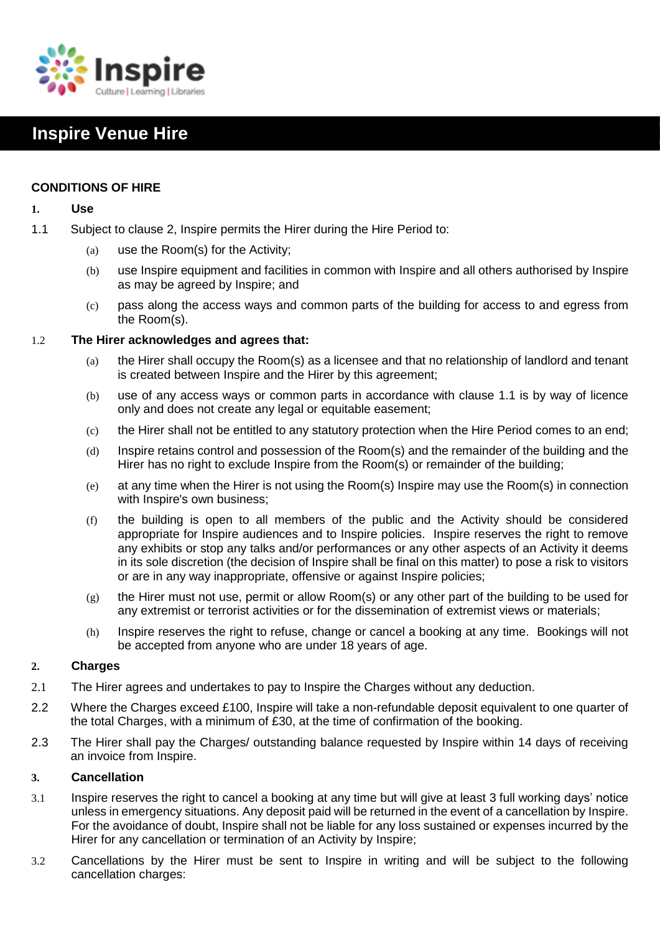

# **Inspire Venue Hire**

# **CONDITIONS OF HIRE**

## **1. Use**

- 1.1 Subject to clause 2, Inspire permits the Hirer during the Hire Period to:
	- (a) use the Room(s) for the Activity;
	- (b) use Inspire equipment and facilities in common with Inspire and all others authorised by Inspire as may be agreed by Inspire; and
	- (c) pass along the access ways and common parts of the building for access to and egress from the Room(s).

# 1.2 **The Hirer acknowledges and agrees that:**

- (a) the Hirer shall occupy the Room(s) as a licensee and that no relationship of landlord and tenant is created between Inspire and the Hirer by this agreement;
- (b) use of any access ways or common parts in accordance with clause 1.1 is by way of licence only and does not create any legal or equitable easement;
- (c) the Hirer shall not be entitled to any statutory protection when the Hire Period comes to an end;
- (d) Inspire retains control and possession of the Room(s) and the remainder of the building and the Hirer has no right to exclude Inspire from the Room(s) or remainder of the building;
- (e) at any time when the Hirer is not using the Room(s) Inspire may use the Room(s) in connection with Inspire's own business;
- (f) the building is open to all members of the public and the Activity should be considered appropriate for Inspire audiences and to Inspire policies. Inspire reserves the right to remove any exhibits or stop any talks and/or performances or any other aspects of an Activity it deems in its sole discretion (the decision of Inspire shall be final on this matter) to pose a risk to visitors or are in any way inappropriate, offensive or against Inspire policies;
- $(g)$  the Hirer must not use, permit or allow Room(s) or any other part of the building to be used for any extremist or terrorist activities or for the dissemination of extremist views or materials;
- (h) Inspire reserves the right to refuse, change or cancel a booking at any time. Bookings will not be accepted from anyone who are under 18 years of age.

# **2. Charges**

- 2.1 The Hirer agrees and undertakes to pay to Inspire the Charges without any deduction.
- 2.2 Where the Charges exceed £100, Inspire will take a non-refundable deposit equivalent to one quarter of the total Charges, with a minimum of £30, at the time of confirmation of the booking.
- 2.3 The Hirer shall pay the Charges/ outstanding balance requested by Inspire within 14 days of receiving an invoice from Inspire.

## **3. Cancellation**

- 3.1 Inspire reserves the right to cancel a booking at any time but will give at least 3 full working days' notice unless in emergency situations. Any deposit paid will be returned in the event of a cancellation by Inspire. For the avoidance of doubt, Inspire shall not be liable for any loss sustained or expenses incurred by the Hirer for any cancellation or termination of an Activity by Inspire;
- 3.2 Cancellations by the Hirer must be sent to Inspire in writing and will be subject to the following cancellation charges: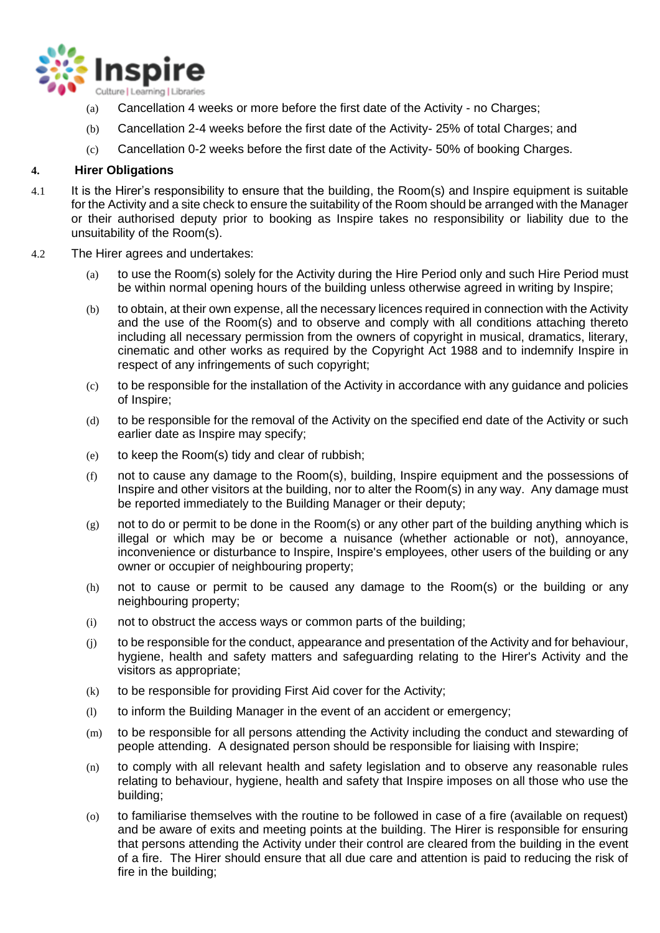

- (a) Cancellation 4 weeks or more before the first date of the Activity no Charges;
- (b) Cancellation 2-4 weeks before the first date of the Activity- 25% of total Charges; and
- (c) Cancellation 0-2 weeks before the first date of the Activity- 50% of booking Charges.

# **4. Hirer Obligations**

- 4.1 It is the Hirer's responsibility to ensure that the building, the Room(s) and Inspire equipment is suitable for the Activity and a site check to ensure the suitability of the Room should be arranged with the Manager or their authorised deputy prior to booking as Inspire takes no responsibility or liability due to the unsuitability of the Room(s).
- 4.2 The Hirer agrees and undertakes:
	- (a) to use the Room(s) solely for the Activity during the Hire Period only and such Hire Period must be within normal opening hours of the building unless otherwise agreed in writing by Inspire;
	- (b) to obtain, at their own expense, all the necessary licences required in connection with the Activity and the use of the Room(s) and to observe and comply with all conditions attaching thereto including all necessary permission from the owners of copyright in musical, dramatics, literary, cinematic and other works as required by the Copyright Act 1988 and to indemnify Inspire in respect of any infringements of such copyright;
	- (c) to be responsible for the installation of the Activity in accordance with any guidance and policies of Inspire;
	- (d) to be responsible for the removal of the Activity on the specified end date of the Activity or such earlier date as Inspire may specify;
	- (e) to keep the Room(s) tidy and clear of rubbish;
	- (f) not to cause any damage to the Room(s), building, Inspire equipment and the possessions of Inspire and other visitors at the building, nor to alter the Room(s) in any way. Any damage must be reported immediately to the Building Manager or their deputy;
	- $(g)$  not to do or permit to be done in the Room(s) or any other part of the building anything which is illegal or which may be or become a nuisance (whether actionable or not), annoyance, inconvenience or disturbance to Inspire, Inspire's employees, other users of the building or any owner or occupier of neighbouring property;
	- (h) not to cause or permit to be caused any damage to the Room(s) or the building or any neighbouring property;
	- (i) not to obstruct the access ways or common parts of the building;
	- (j) to be responsible for the conduct, appearance and presentation of the Activity and for behaviour, hygiene, health and safety matters and safeguarding relating to the Hirer's Activity and the visitors as appropriate;
	- (k) to be responsible for providing First Aid cover for the Activity;
	- (l) to inform the Building Manager in the event of an accident or emergency;
	- (m) to be responsible for all persons attending the Activity including the conduct and stewarding of people attending. A designated person should be responsible for liaising with Inspire;
	- (n) to comply with all relevant health and safety legislation and to observe any reasonable rules relating to behaviour, hygiene, health and safety that Inspire imposes on all those who use the building;
	- (o) to familiarise themselves with the routine to be followed in case of a fire (available on request) and be aware of exits and meeting points at the building. The Hirer is responsible for ensuring that persons attending the Activity under their control are cleared from the building in the event of a fire. The Hirer should ensure that all due care and attention is paid to reducing the risk of fire in the building;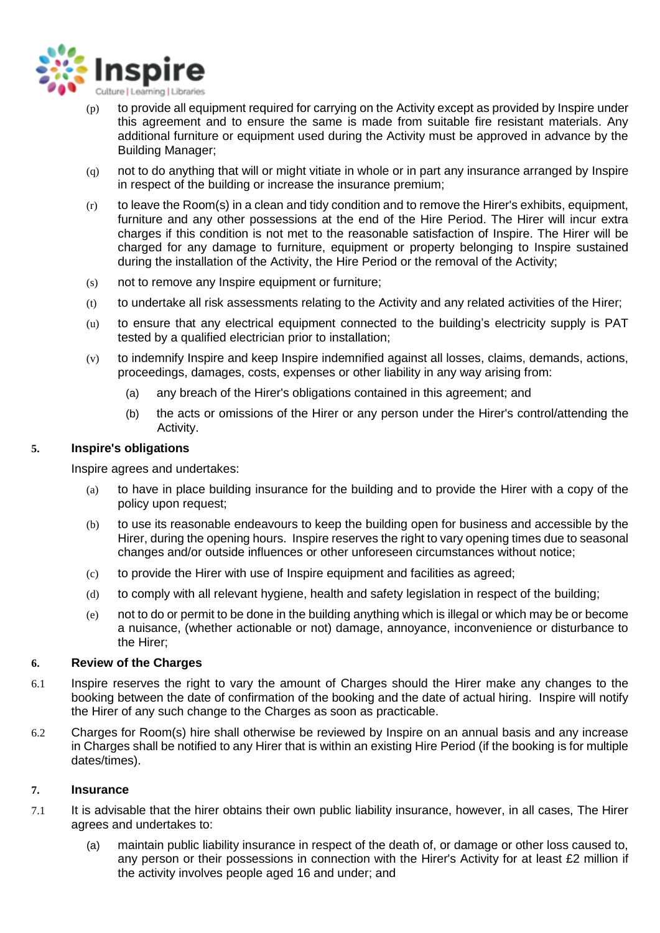

- (p) to provide all equipment required for carrying on the Activity except as provided by Inspire under this agreement and to ensure the same is made from suitable fire resistant materials. Any additional furniture or equipment used during the Activity must be approved in advance by the Building Manager;
- (q) not to do anything that will or might vitiate in whole or in part any insurance arranged by Inspire in respect of the building or increase the insurance premium;
- $(r)$  to leave the Room(s) in a clean and tidy condition and to remove the Hirer's exhibits, equipment, furniture and any other possessions at the end of the Hire Period. The Hirer will incur extra charges if this condition is not met to the reasonable satisfaction of Inspire. The Hirer will be charged for any damage to furniture, equipment or property belonging to Inspire sustained during the installation of the Activity, the Hire Period or the removal of the Activity;
- (s) not to remove any Inspire equipment or furniture;
- (t) to undertake all risk assessments relating to the Activity and any related activities of the Hirer;
- (u) to ensure that any electrical equipment connected to the building's electricity supply is PAT tested by a qualified electrician prior to installation;
- (v) to indemnify Inspire and keep Inspire indemnified against all losses, claims, demands, actions, proceedings, damages, costs, expenses or other liability in any way arising from:
	- (a) any breach of the Hirer's obligations contained in this agreement; and
	- (b) the acts or omissions of the Hirer or any person under the Hirer's control/attending the Activity.

# **5. Inspire's obligations**

Inspire agrees and undertakes:

- (a) to have in place building insurance for the building and to provide the Hirer with a copy of the policy upon request;
- (b) to use its reasonable endeavours to keep the building open for business and accessible by the Hirer, during the opening hours. Inspire reserves the right to vary opening times due to seasonal changes and/or outside influences or other unforeseen circumstances without notice;
- (c) to provide the Hirer with use of Inspire equipment and facilities as agreed;
- (d) to comply with all relevant hygiene, health and safety legislation in respect of the building;
- (e) not to do or permit to be done in the building anything which is illegal or which may be or become a nuisance, (whether actionable or not) damage, annoyance, inconvenience or disturbance to the Hirer;

## **6. Review of the Charges**

- 6.1 Inspire reserves the right to vary the amount of Charges should the Hirer make any changes to the booking between the date of confirmation of the booking and the date of actual hiring. Inspire will notify the Hirer of any such change to the Charges as soon as practicable.
- 6.2 Charges for Room(s) hire shall otherwise be reviewed by Inspire on an annual basis and any increase in Charges shall be notified to any Hirer that is within an existing Hire Period (if the booking is for multiple dates/times).

## **7. Insurance**

- 7.1 It is advisable that the hirer obtains their own public liability insurance, however, in all cases, The Hirer agrees and undertakes to:
	- (a) maintain public liability insurance in respect of the death of, or damage or other loss caused to, any person or their possessions in connection with the Hirer's Activity for at least £2 million if the activity involves people aged 16 and under; and